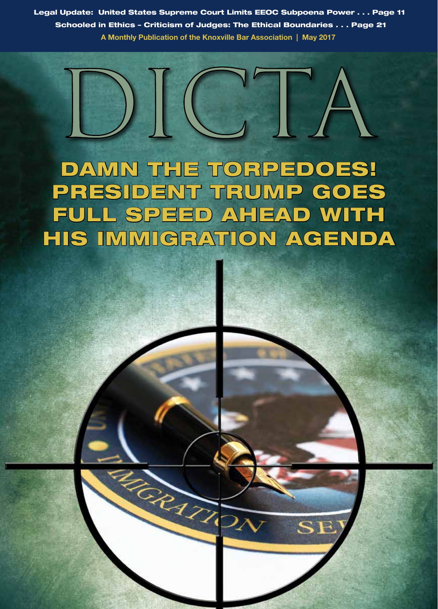Legal Update: United States Supreme Court Limits EEOC Subpoena Power . . . Page 11 Schooled in Ethics – Criticism of Judges: The Ethical Boundaries . . . Page 21 **A Monthly Publication of the Knoxville Bar Association | May 2017**



DAMN THE TORPEDOES! PRESIDENT TRUMP GOES FULL SPEED AHEAD WITH HIS IMMIGRATION AGENDA

**RORANTS** 

SF